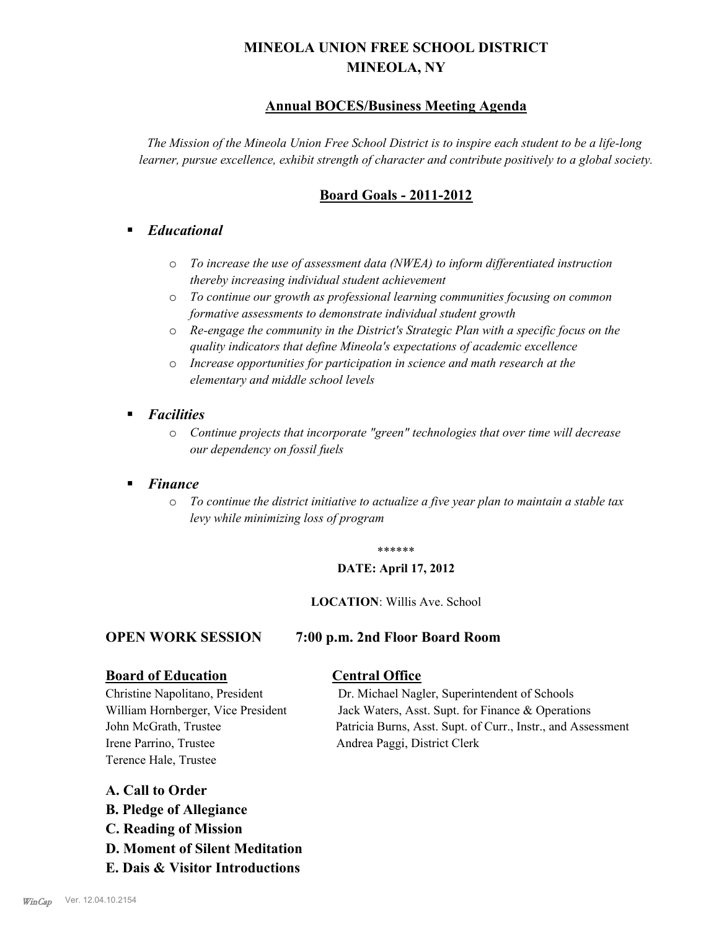# **MINEOLA UNION FREE SCHOOL DISTRICT MINEOLA, NY**

# **Annual BOCES/Business Meeting Agenda**

*The Mission of the Mineola Union Free School District is to inspire each student to be a life-long learner, pursue excellence, exhibit strength of character and contribute positively to a global society.*

# **Board Goals - 2011-2012**

# § *Educational*

- o *To increase the use of assessment data (NWEA) to inform differentiated instruction thereby increasing individual student achievement*
- o *To continue our growth as professional learning communities focusing on common formative assessments to demonstrate individual student growth*
- o *Re-engage the community in the District's Strategic Plan with a specific focus on the quality indicators that define Mineola's expectations of academic excellence*
- o *Increase opportunities for participation in science and math research at the elementary and middle school levels*
- *Facilities* 
	- o *Continue projects that incorporate "green" technologies that over time will decrease our dependency on fossil fuels*

# § *Finance*

o *To continue the district initiative to actualize a five year plan to maintain a stable tax levy while minimizing loss of program*

#### \*\*\*\*\*\*

#### **DATE: April 17, 2012**

#### **LOCATION**: Willis Ave. School

## **OPEN WORK SESSION 7:00 p.m. 2nd Floor Board Room**

## **Board of Education Central Office**

Irene Parrino, Trustee Andrea Paggi, District Clerk Terence Hale, Trustee

Christine Napolitano, President Dr. Michael Nagler, Superintendent of Schools William Hornberger, Vice President Jack Waters, Asst. Supt. for Finance & Operations John McGrath, Trustee Patricia Burns, Asst. Supt. of Curr., Instr., and Assessment

# **A. Call to Order**

- **B. Pledge of Allegiance**
- **C. Reading of Mission**
- **D. Moment of Silent Meditation**
- **E. Dais & Visitor Introductions**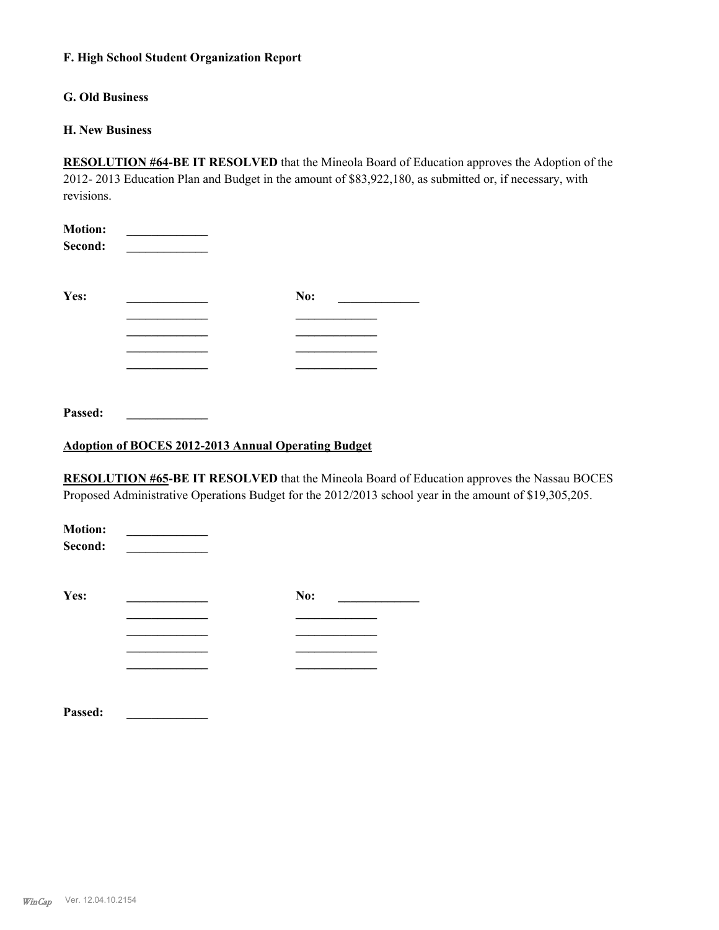## **F. High School Student Organization Report**

# **G. Old Business**

## **H. New Business**

**RESOLUTION #64-BE IT RESOLVED** that the Mineola Board of Education approves the Adoption of the 2012- 2013 Education Plan and Budget in the amount of \$83,922,180, as submitted or, if necessary, with revisions.

| <b>Motion:</b><br>Second: |     |  |
|---------------------------|-----|--|
| Yes:                      | No: |  |
|                           |     |  |
|                           |     |  |
|                           |     |  |
|                           |     |  |
|                           |     |  |
|                           |     |  |

**Passed: \_\_\_\_\_\_\_\_\_\_\_\_\_**

# **Adoption of BOCES 2012-2013 Annual Operating Budget**

**RESOLUTION #65-BE IT RESOLVED** that the Mineola Board of Education approves the Nassau BOCES Proposed Administrative Operations Budget for the 2012/2013 school year in the amount of \$19,305,205.

| <b>Motion:</b><br>Second: |     |
|---------------------------|-----|
| Yes:                      | No: |
|                           |     |
|                           |     |
|                           |     |
|                           |     |
| Passed:                   |     |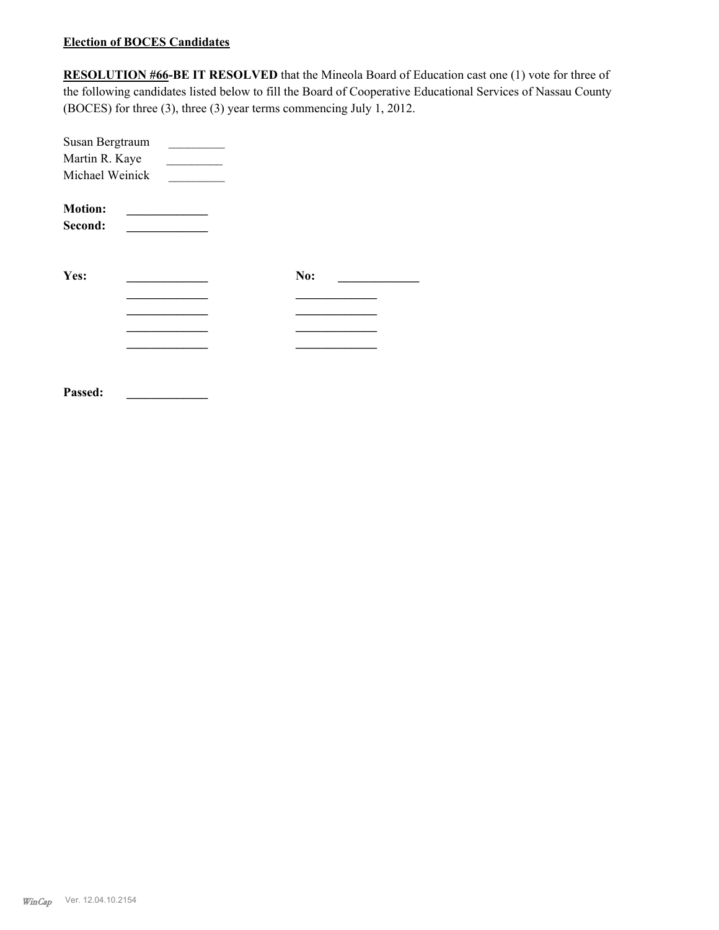## **Election of BOCES Candidates**

**RESOLUTION #66-BE IT RESOLVED** that the Mineola Board of Education cast one (1) vote for three of the following candidates listed below to fill the Board of Cooperative Educational Services of Nassau County (BOCES) for three (3), three (3) year terms commencing July 1, 2012.

| Susan Bergtraum |     |  |
|-----------------|-----|--|
| Martin R. Kaye  |     |  |
| Michael Weinick |     |  |
| <b>Motion:</b>  |     |  |
| Second:         |     |  |
|                 |     |  |
| Yes:            | No: |  |
|                 |     |  |
|                 |     |  |
|                 |     |  |
|                 |     |  |
|                 |     |  |
| Passed:         |     |  |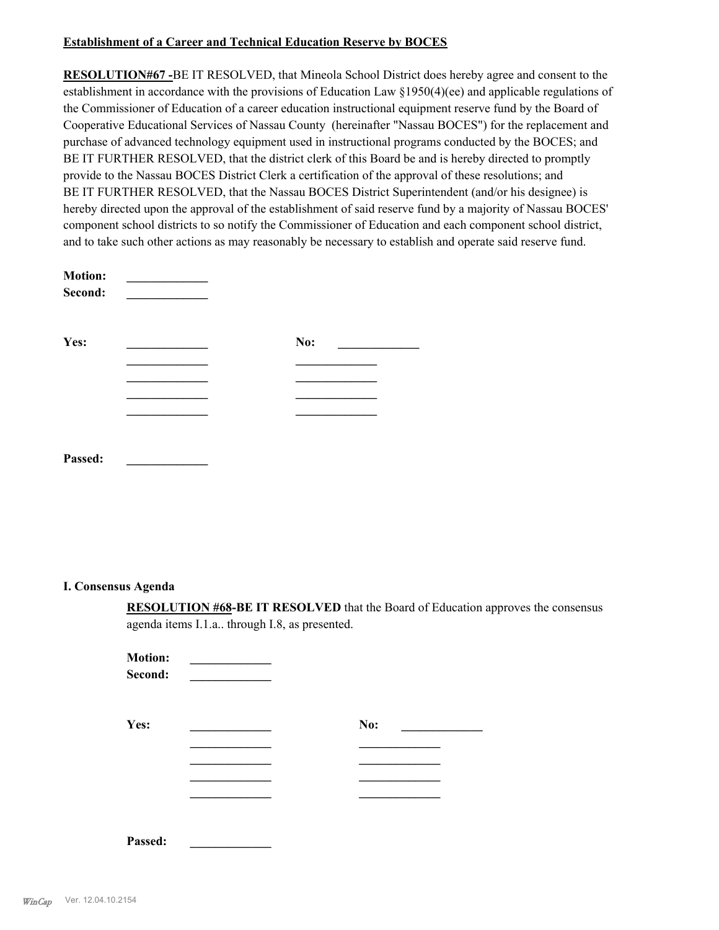## **Establishment of a Career and Technical Education Reserve by BOCES**

**RESOLUTION#67 -**BE IT RESOLVED, that Mineola School District does hereby agree and consent to the establishment in accordance with the provisions of Education Law §1950(4)(ee) and applicable regulations of the Commissioner of Education of a career education instructional equipment reserve fund by the Board of Cooperative Educational Services of Nassau County (hereinafter "Nassau BOCES") for the replacement and purchase of advanced technology equipment used in instructional programs conducted by the BOCES; and BE IT FURTHER RESOLVED, that the district clerk of this Board be and is hereby directed to promptly provide to the Nassau BOCES District Clerk a certification of the approval of these resolutions; and BE IT FURTHER RESOLVED, that the Nassau BOCES District Superintendent (and/or his designee) is hereby directed upon the approval of the establishment of said reserve fund by a majority of Nassau BOCES' component school districts to so notify the Commissioner of Education and each component school district, and to take such other actions as may reasonably be necessary to establish and operate said reserve fund.

| <b>Motion:</b><br>Second: |     |  |
|---------------------------|-----|--|
| Yes:                      | No: |  |
|                           |     |  |
|                           |     |  |
|                           |     |  |
|                           |     |  |
| Passed:                   |     |  |

#### **I. Consensus Agenda**

**RESOLUTION #68-BE IT RESOLVED** that the Board of Education approves the consensus agenda items I.1.a.. through I.8, as presented.

| <b>Motion:</b><br>Second: |     |  |
|---------------------------|-----|--|
| Yes:                      | No: |  |
|                           |     |  |
|                           |     |  |
|                           |     |  |
|                           |     |  |
|                           |     |  |
| Passed:                   |     |  |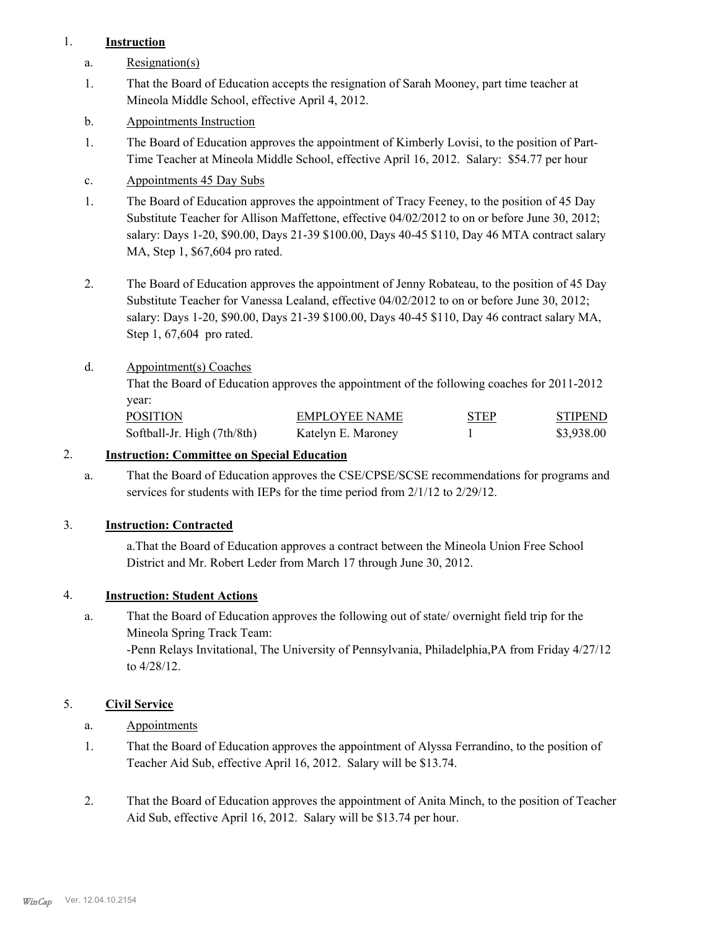# 1. **Instruction**

- a. Resignation(s)
- That the Board of Education accepts the resignation of Sarah Mooney, part time teacher at Mineola Middle School, effective April 4, 2012. 1.
- b. Appointments Instruction
- The Board of Education approves the appointment of Kimberly Lovisi, to the position of Part-Time Teacher at Mineola Middle School, effective April 16, 2012. Salary: \$54.77 per hour 1.
- c. Appointments 45 Day Subs
- The Board of Education approves the appointment of Tracy Feeney, to the position of 45 Day Substitute Teacher for Allison Maffettone, effective 04/02/2012 to on or before June 30, 2012; salary: Days 1-20, \$90.00, Days 21-39 \$100.00, Days 40-45 \$110, Day 46 MTA contract salary MA, Step 1, \$67,604 pro rated. 1.
- The Board of Education approves the appointment of Jenny Robateau, to the position of 45 Day Substitute Teacher for Vanessa Lealand, effective 04/02/2012 to on or before June 30, 2012; salary: Days 1-20, \$90.00, Days 21-39 \$100.00, Days 40-45 \$110, Day 46 contract salary MA, Step 1, 67,604 pro rated. 2.
- Appointment(s) Coaches d.

That the Board of Education approves the appointment of the following coaches for 2011-2012 year:

| POSITION                    | EMPLOYEE NAME      | <b>STEP</b> | <b>STIPEND</b> |
|-----------------------------|--------------------|-------------|----------------|
| Softball-Jr. High (7th/8th) | Katelyn E. Maroney |             | \$3.938.00     |

# 2. **Instruction: Committee on Special Education**

That the Board of Education approves the CSE/CPSE/SCSE recommendations for programs and services for students with IEPs for the time period from 2/1/12 to 2/29/12. a.

# 3. **Instruction: Contracted**

a.That the Board of Education approves a contract between the Mineola Union Free School District and Mr. Robert Leder from March 17 through June 30, 2012.

## 4. **Instruction: Student Actions**

That the Board of Education approves the following out of state/ overnight field trip for the Mineola Spring Track Team: -Penn Relays Invitational, The University of Pennsylvania, Philadelphia,PA from Friday 4/27/12 to 4/28/12. a.

# 5. **Civil Service**

- a. Appointments
- That the Board of Education approves the appointment of Alyssa Ferrandino, to the position of Teacher Aid Sub, effective April 16, 2012. Salary will be \$13.74. 1.
- That the Board of Education approves the appointment of Anita Minch, to the position of Teacher Aid Sub, effective April 16, 2012. Salary will be \$13.74 per hour. 2.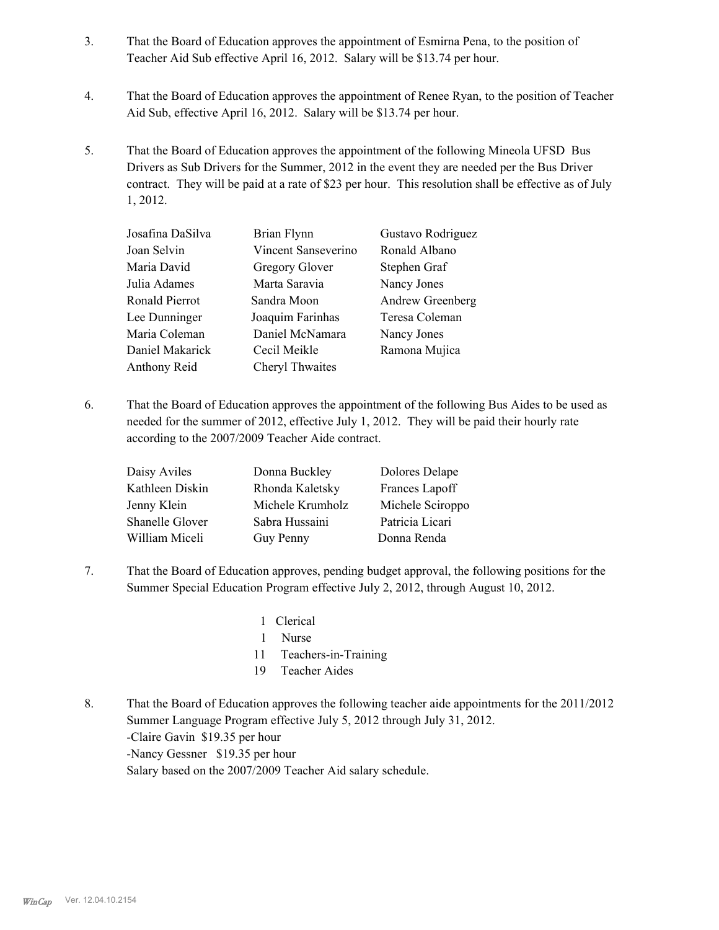- That the Board of Education approves the appointment of Esmirna Pena, to the position of Teacher Aid Sub effective April 16, 2012. Salary will be \$13.74 per hour. 3.
- That the Board of Education approves the appointment of Renee Ryan, to the position of Teacher Aid Sub, effective April 16, 2012. Salary will be \$13.74 per hour. 4.
- That the Board of Education approves the appointment of the following Mineola UFSD Bus Drivers as Sub Drivers for the Summer, 2012 in the event they are needed per the Bus Driver contract. They will be paid at a rate of \$23 per hour. This resolution shall be effective as of July 1, 2012. 5.

| Josafina DaSilva | Brian Flynn         | Gustavo Rodriguez |
|------------------|---------------------|-------------------|
| Joan Selvin      | Vincent Sanseverino | Ronald Albano     |
| Maria David      | Gregory Glover      | Stephen Graf      |
| Julia Adames     | Marta Saravia       | Nancy Jones       |
| Ronald Pierrot   | Sandra Moon         | Andrew Greenberg  |
| Lee Dunninger    | Joaquim Farinhas    | Teresa Coleman    |
| Maria Coleman    | Daniel McNamara     | Nancy Jones       |
| Daniel Makarick  | Cecil Meikle        | Ramona Mujica     |
| Anthony Reid     | Cheryl Thwaites     |                   |

That the Board of Education approves the appointment of the following Bus Aides to be used as needed for the summer of 2012, effective July 1, 2012. They will be paid their hourly rate according to the 2007/2009 Teacher Aide contract. 6.

| Daisy Aviles           | Donna Buckley    | Dolores Delape   |
|------------------------|------------------|------------------|
| Kathleen Diskin        | Rhonda Kaletsky  | Frances Lapoff   |
| Jenny Klein            | Michele Krumholz | Michele Sciroppo |
| <b>Shanelle Glover</b> | Sabra Hussaini   | Patricia Licari  |
| William Miceli         | Guy Penny        | Donna Renda      |
|                        |                  |                  |

- That the Board of Education approves, pending budget approval, the following positions for the Summer Special Education Program effective July 2, 2012, through August 10, 2012. 7.
	- 1 Clerical
	- 1 Nurse
	- 11 Teachers-in-Training
	- 19 Teacher Aides
- That the Board of Education approves the following teacher aide appointments for the 2011/2012 Summer Language Program effective July 5, 2012 through July 31, 2012. -Claire Gavin \$19.35 per hour -Nancy Gessner \$19.35 per hour Salary based on the 2007/2009 Teacher Aid salary schedule. 8.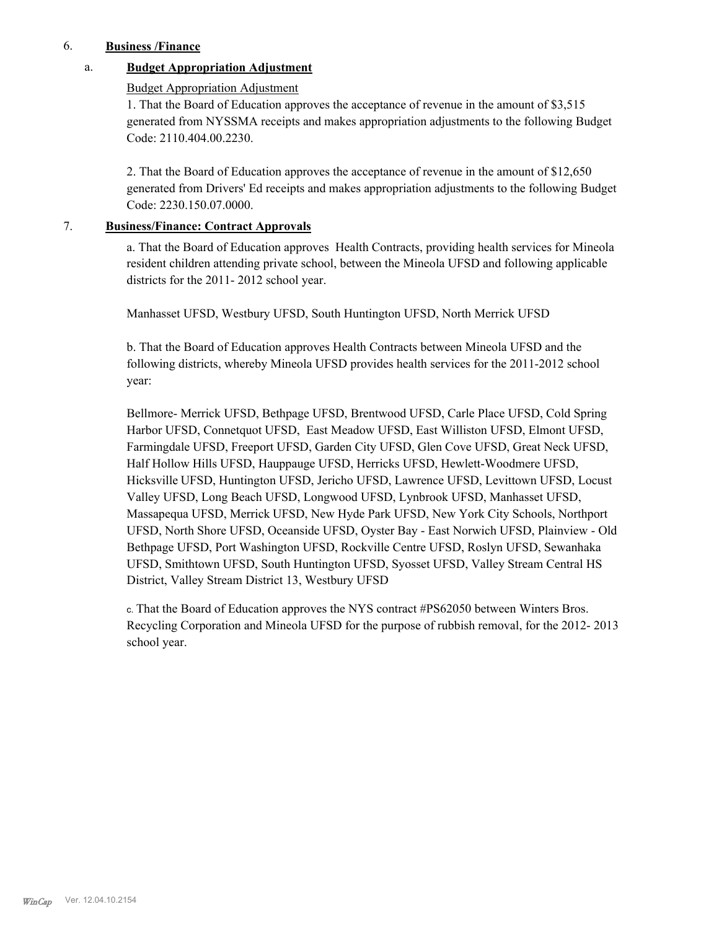## 6. **Business /Finance**

## a. **Budget Appropriation Adjustment**

#### Budget Appropriation Adjustment

1. That the Board of Education approves the acceptance of revenue in the amount of \$3,515 generated from NYSSMA receipts and makes appropriation adjustments to the following Budget Code: 2110.404.00.2230.

2. That the Board of Education approves the acceptance of revenue in the amount of \$12,650 generated from Drivers' Ed receipts and makes appropriation adjustments to the following Budget Code: 2230.150.07.0000.

## 7. **Business/Finance: Contract Approvals**

a. That the Board of Education approves Health Contracts, providing health services for Mineola resident children attending private school, between the Mineola UFSD and following applicable districts for the 2011- 2012 school year.

Manhasset UFSD, Westbury UFSD, South Huntington UFSD, North Merrick UFSD

b. That the Board of Education approves Health Contracts between Mineola UFSD and the following districts, whereby Mineola UFSD provides health services for the 2011-2012 school year:

Bellmore- Merrick UFSD, Bethpage UFSD, Brentwood UFSD, Carle Place UFSD, Cold Spring Harbor UFSD, Connetquot UFSD, East Meadow UFSD, East Williston UFSD, Elmont UFSD, Farmingdale UFSD, Freeport UFSD, Garden City UFSD, Glen Cove UFSD, Great Neck UFSD, Half Hollow Hills UFSD, Hauppauge UFSD, Herricks UFSD, Hewlett-Woodmere UFSD, Hicksville UFSD, Huntington UFSD, Jericho UFSD, Lawrence UFSD, Levittown UFSD, Locust Valley UFSD, Long Beach UFSD, Longwood UFSD, Lynbrook UFSD, Manhasset UFSD, Massapequa UFSD, Merrick UFSD, New Hyde Park UFSD, New York City Schools, Northport UFSD, North Shore UFSD, Oceanside UFSD, Oyster Bay - East Norwich UFSD, Plainview - Old Bethpage UFSD, Port Washington UFSD, Rockville Centre UFSD, Roslyn UFSD, Sewanhaka UFSD, Smithtown UFSD, South Huntington UFSD, Syosset UFSD, Valley Stream Central HS District, Valley Stream District 13, Westbury UFSD

c. That the Board of Education approves the NYS contract #PS62050 between Winters Bros. Recycling Corporation and Mineola UFSD for the purpose of rubbish removal, for the 2012- 2013 school year.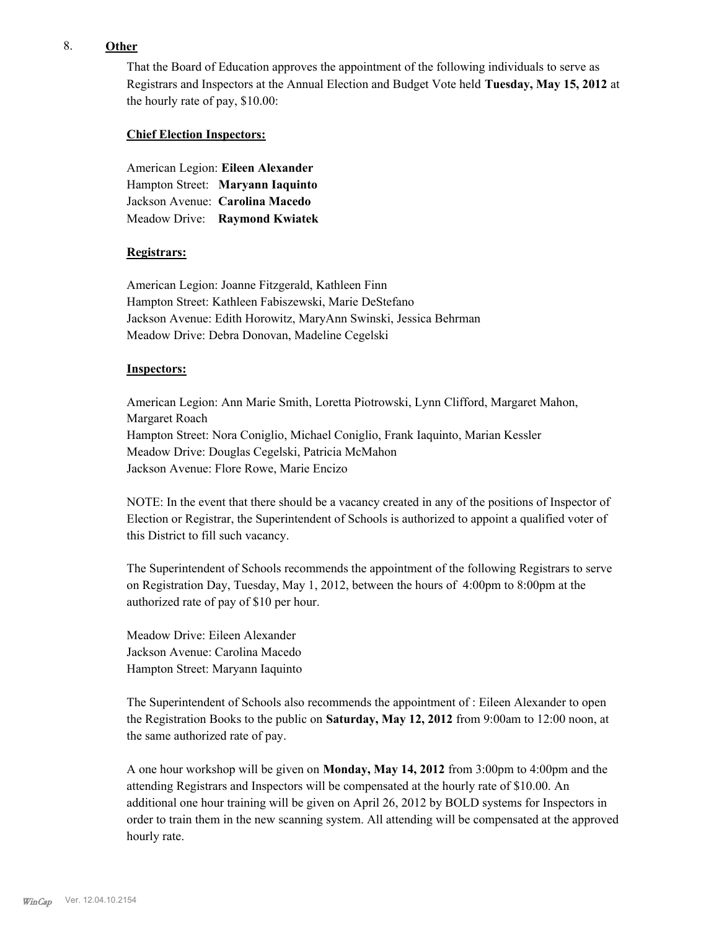## 8. **Other**

That the Board of Education approves the appointment of the following individuals to serve as Registrars and Inspectors at the Annual Election and Budget Vote held **Tuesday, May 15, 2012** at the hourly rate of pay, \$10.00:

#### **Chief Election Inspectors:**

American Legion: **Eileen Alexander**  Hampton Street: **Maryann Iaquinto** Jackson Avenue: **Carolina Macedo** Meadow Drive: **Raymond Kwiatek**

### **Registrars:**

American Legion: Joanne Fitzgerald, Kathleen Finn Hampton Street: Kathleen Fabiszewski, Marie DeStefano Jackson Avenue: Edith Horowitz, MaryAnn Swinski, Jessica Behrman Meadow Drive: Debra Donovan, Madeline Cegelski

### **Inspectors:**

American Legion: Ann Marie Smith, Loretta Piotrowski, Lynn Clifford, Margaret Mahon, Margaret Roach Hampton Street: Nora Coniglio, Michael Coniglio, Frank Iaquinto, Marian Kessler Meadow Drive: Douglas Cegelski, Patricia McMahon Jackson Avenue: Flore Rowe, Marie Encizo

NOTE: In the event that there should be a vacancy created in any of the positions of Inspector of Election or Registrar, the Superintendent of Schools is authorized to appoint a qualified voter of this District to fill such vacancy.

The Superintendent of Schools recommends the appointment of the following Registrars to serve on Registration Day, Tuesday, May 1, 2012, between the hours of 4:00pm to 8:00pm at the authorized rate of pay of \$10 per hour.

Meadow Drive: Eileen Alexander Jackson Avenue: Carolina Macedo Hampton Street: Maryann Iaquinto

The Superintendent of Schools also recommends the appointment of : Eileen Alexander to open the Registration Books to the public on **Saturday, May 12, 2012** from 9:00am to 12:00 noon, at the same authorized rate of pay.

A one hour workshop will be given on **Monday, May 14, 2012** from 3:00pm to 4:00pm and the attending Registrars and Inspectors will be compensated at the hourly rate of \$10.00. An additional one hour training will be given on April 26, 2012 by BOLD systems for Inspectors in order to train them in the new scanning system. All attending will be compensated at the approved hourly rate.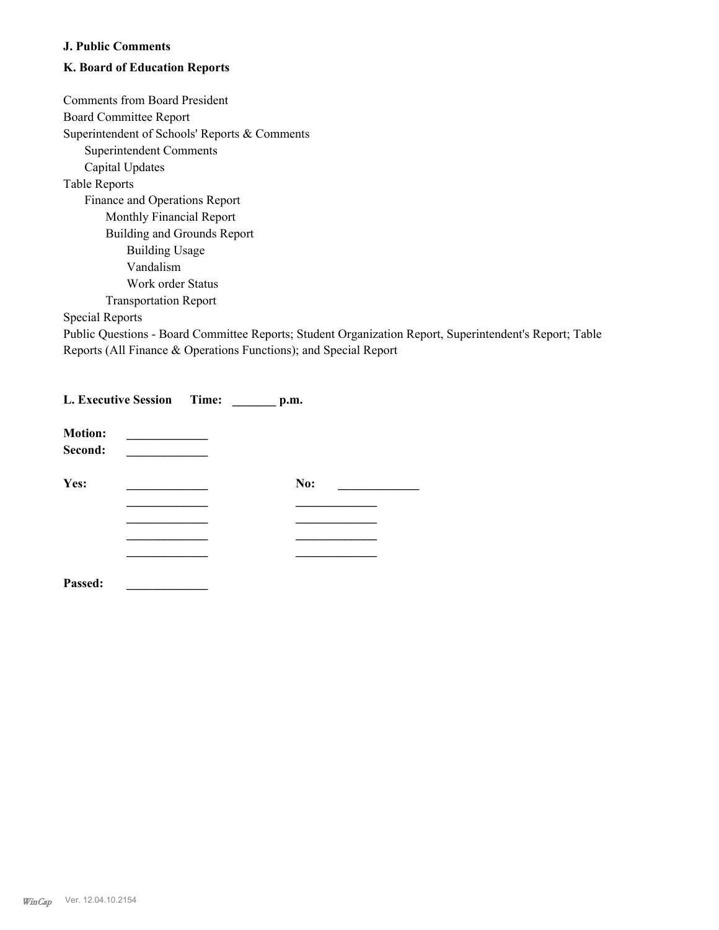## **J. Public Comments**

# **K. Board of Education Reports**

Comments from Board President Board Committee Report Superintendent of Schools' Reports & Comments Superintendent Comments Capital Updates Table Reports Finance and Operations Report Monthly Financial Report Building and Grounds Report Building Usage Vandalism Work order Status Transportation Report

Special Reports

Public Questions - Board Committee Reports; Student Organization Report, Superintendent's Report; Table Reports (All Finance & Operations Functions); and Special Report

|                           | L. Executive Session Time: | p.m. |  |
|---------------------------|----------------------------|------|--|
| <b>Motion:</b><br>Second: |                            |      |  |
| Yes:                      |                            | No:  |  |
|                           |                            |      |  |
|                           |                            |      |  |
|                           |                            |      |  |
| Passed:                   |                            |      |  |